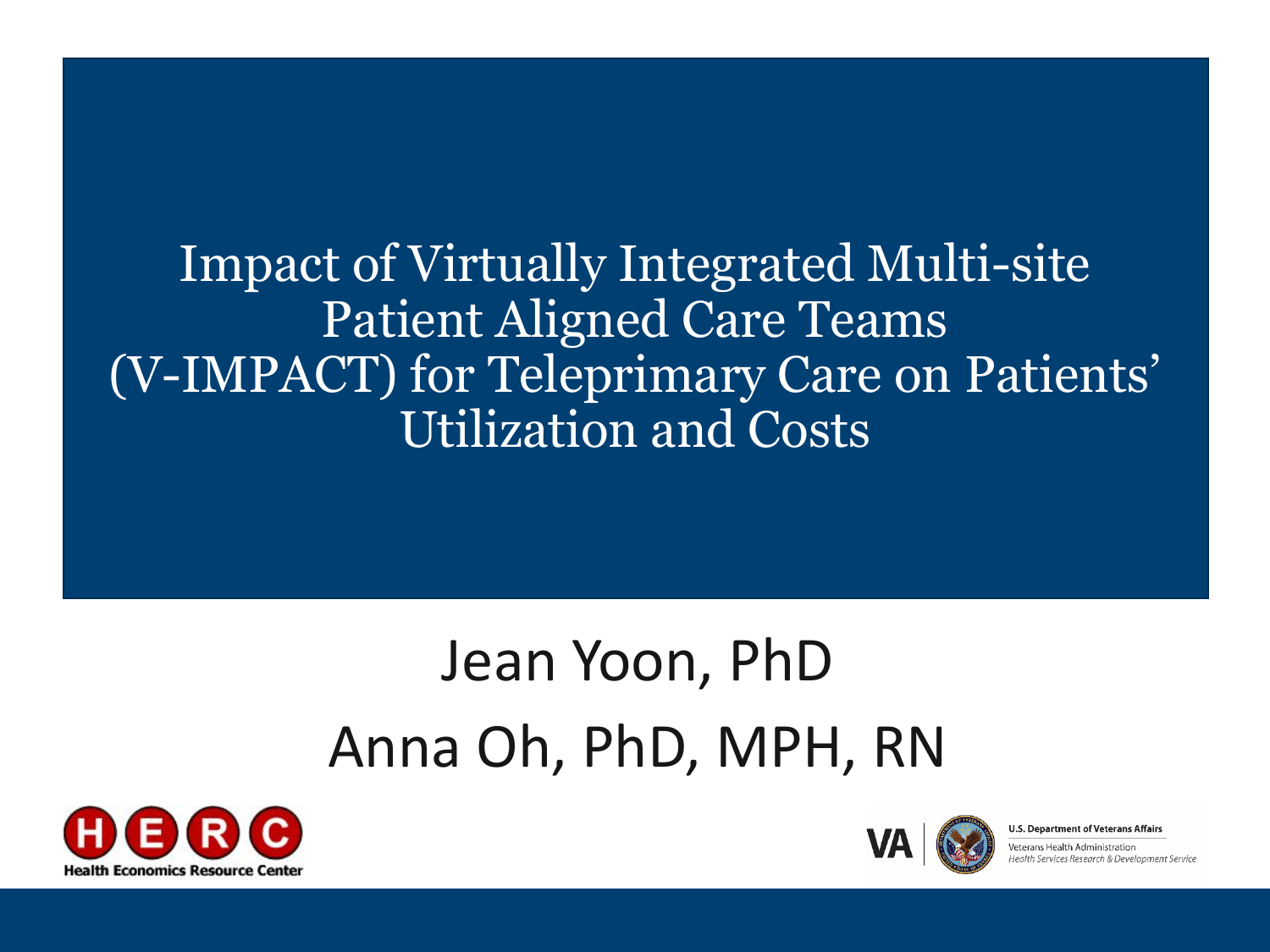Impact of Virtually Integrated Multi-site Patient Aligned Care Teams (V-IMPACT) for Teleprimary Care on Patients' Utilization and Costs

## Jean Yoon, PhD Anna Oh, PhD, MPH, RN





**U.S. Department of Veterans Affairs** 

eterans Health Administration ealth Services Research & Development Service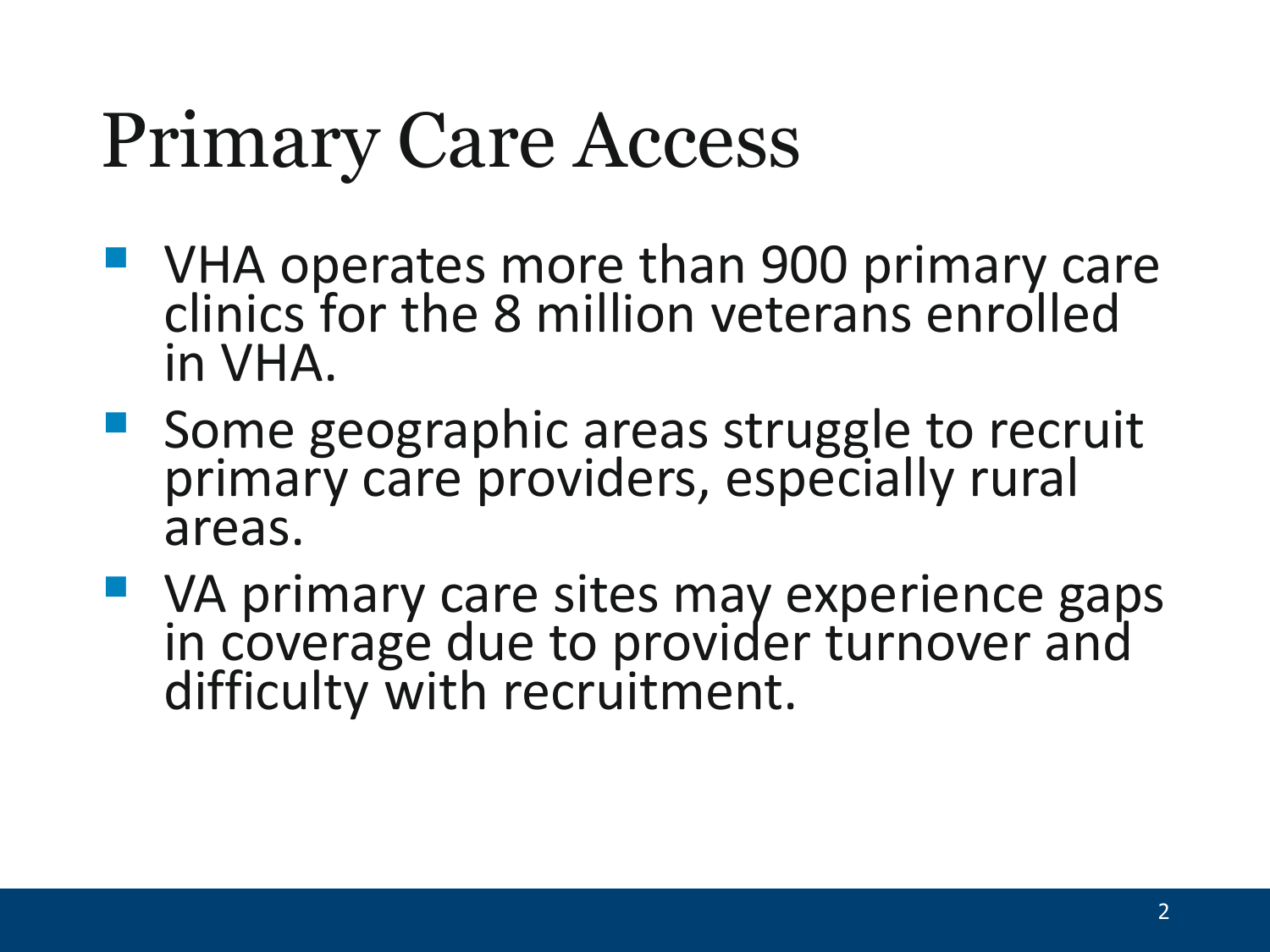# Primary Care Access

- **URED VHA operates more than 900 primary care** clinics for the 8 million veterans enrolled in VHA.
- **Some geographic areas struggle to recruit** primary care providers, especially rural areas.
- **VA primary care sites may experience gaps** in coverage due to provider turnover and difficulty with recruitment.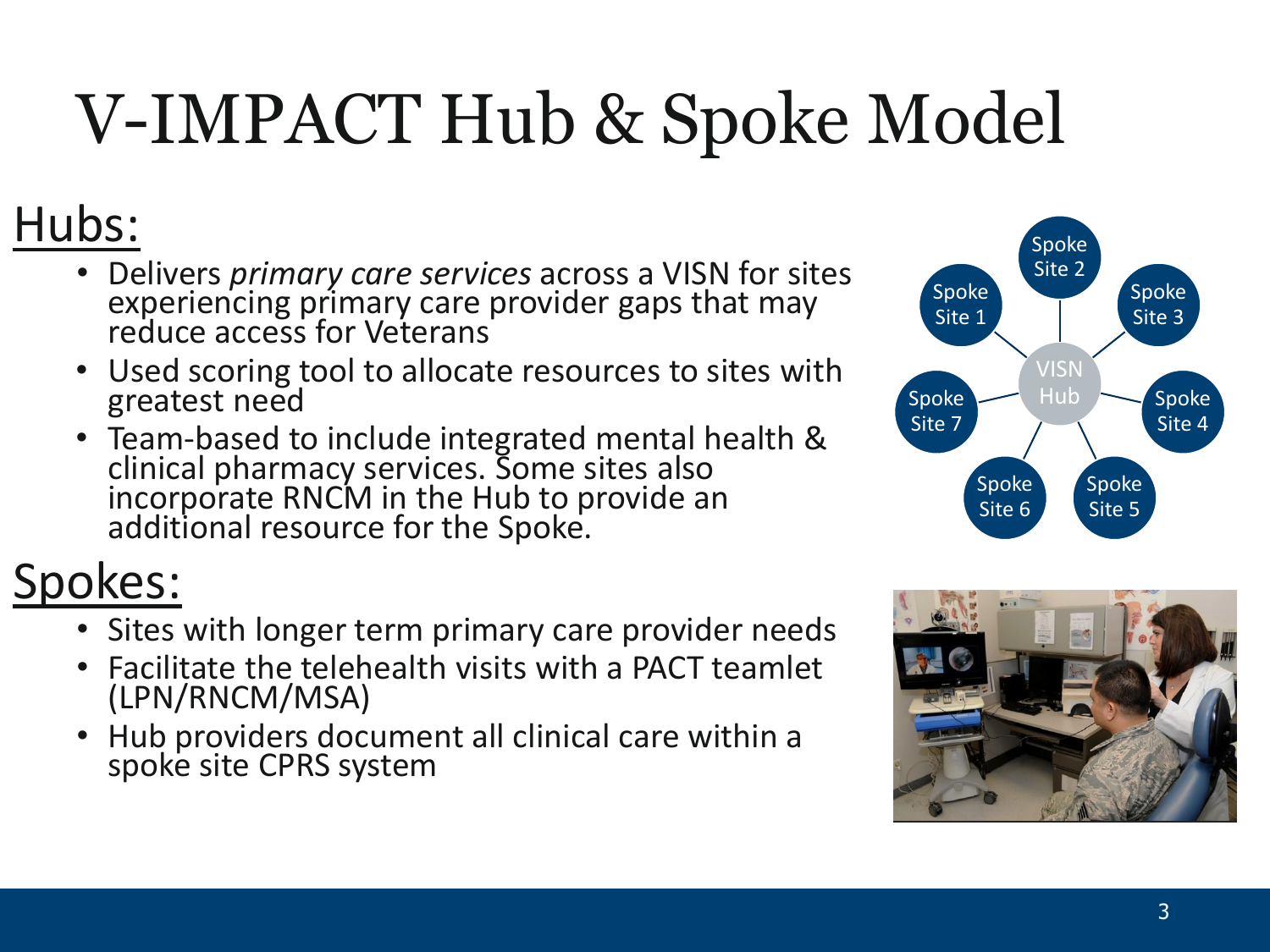## V-IMPACT Hub & Spoke Model

### Hubs:

- Delivers *primary care services* across a VISN for sites experiencing primary care provider gaps that may reduce access for Veterans
- Used scoring tool to allocate resources to sites with greatest need
- Team-based to include integrated mental health & clinical pharmacy services. Some sites also incorporate RNCM in the Hub to provide an additional resource for the Spoke.

### Spokes:

- Sites with longer term primary care provider needs
- Facilitate the telehealth visits with a PACT teamlet (LPN/RNCM/MSA)
- Hub providers document all clinical care within a spoke site CPRS system



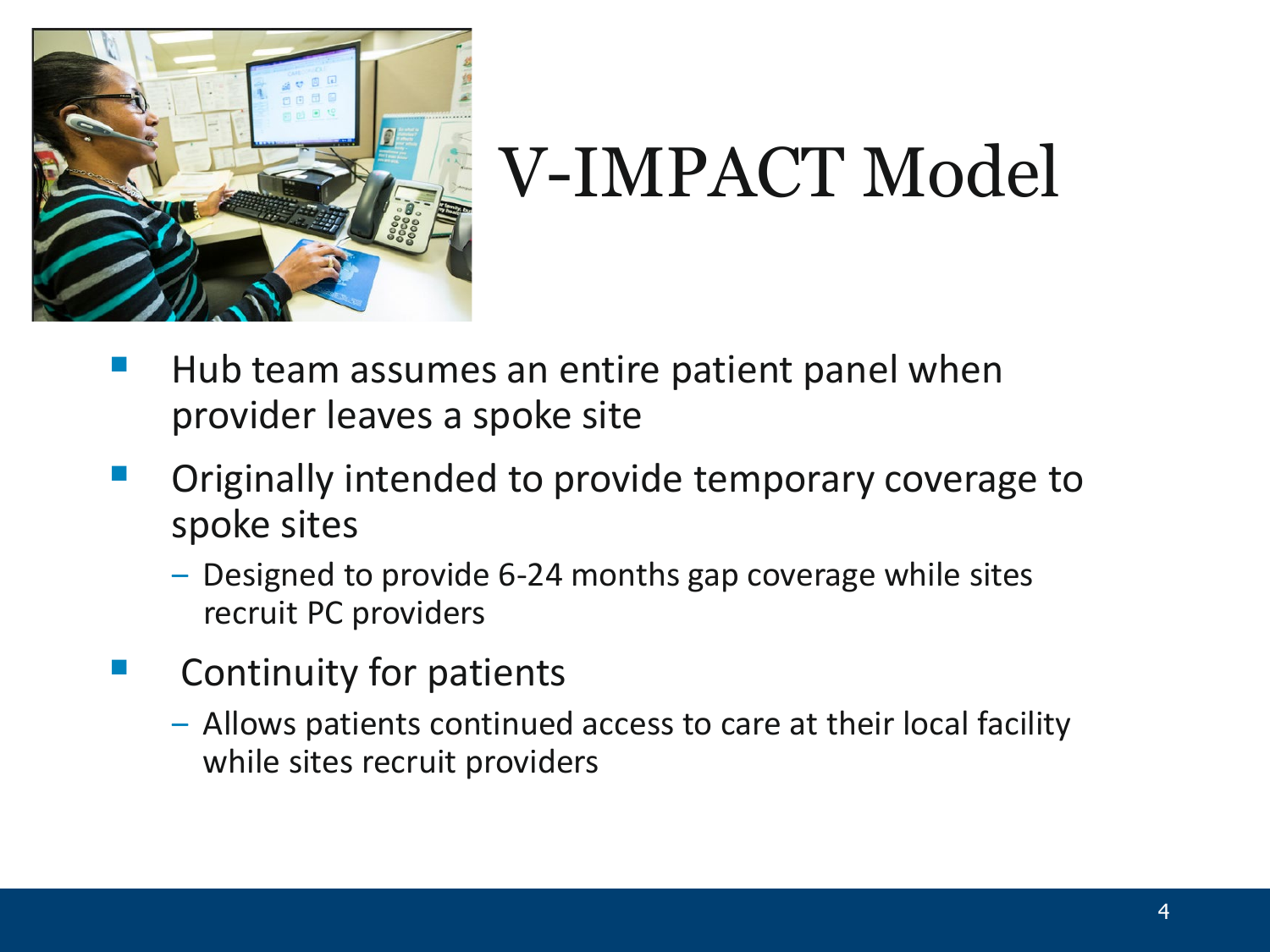

## V-IMPACT Model

- Hub team assumes an entire patient panel when provider leaves a spoke site
- Originally intended to provide temporary coverage to spoke sites
	- ‒ Designed to provide 6-24 months gap coverage while sites recruit PC providers
- Continuity for patients
	- ‒ Allows patients continued access to care at their local facility while sites recruit providers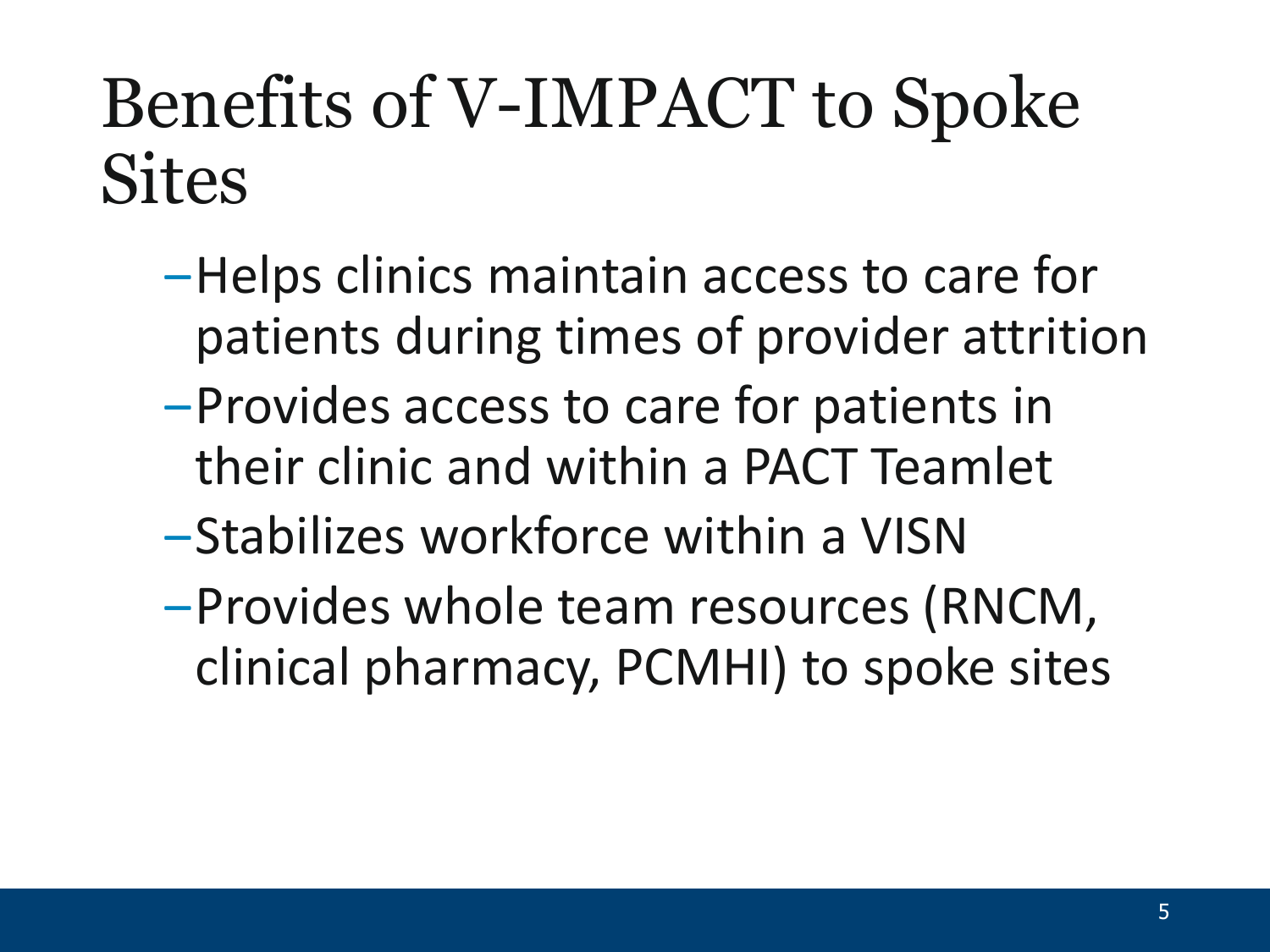## Benefits of V-IMPACT to Spoke **Sites**

- ‒Helps clinics maintain access to care for patients during times of provider attrition
- ‒Provides access to care for patients in their clinic and within a PACT Teamlet
- ‒Stabilizes workforce within a VISN
- ‒Provides whole team resources (RNCM, clinical pharmacy, PCMHI) to spoke sites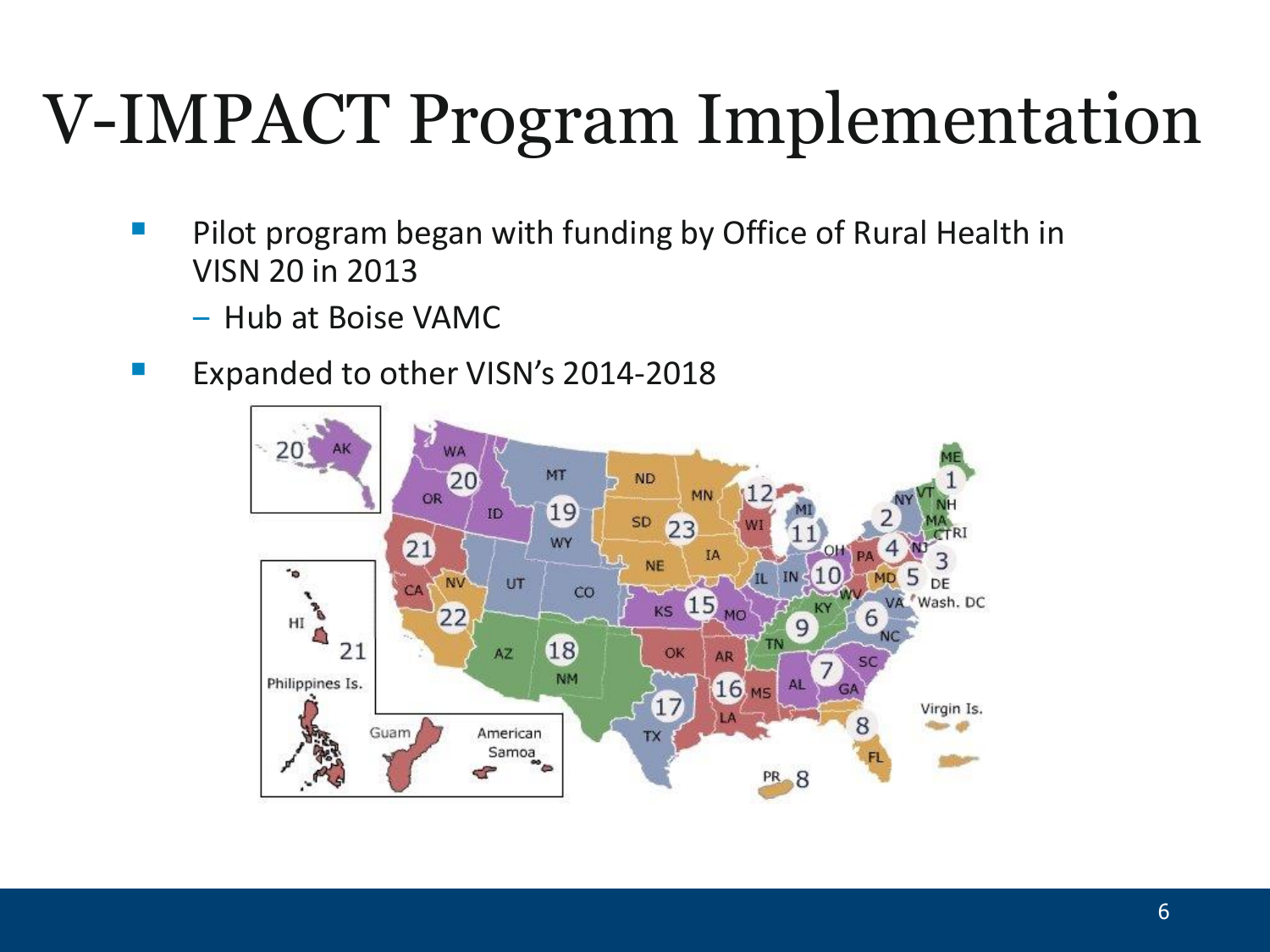## V-IMPACT Program Implementation

- Pilot program began with funding by Office of Rural Health in VISN 20 in 2013
	- ‒ Hub at Boise VAMC
- **EXPALER 19 Expanded to other VISN's 2014-2018**

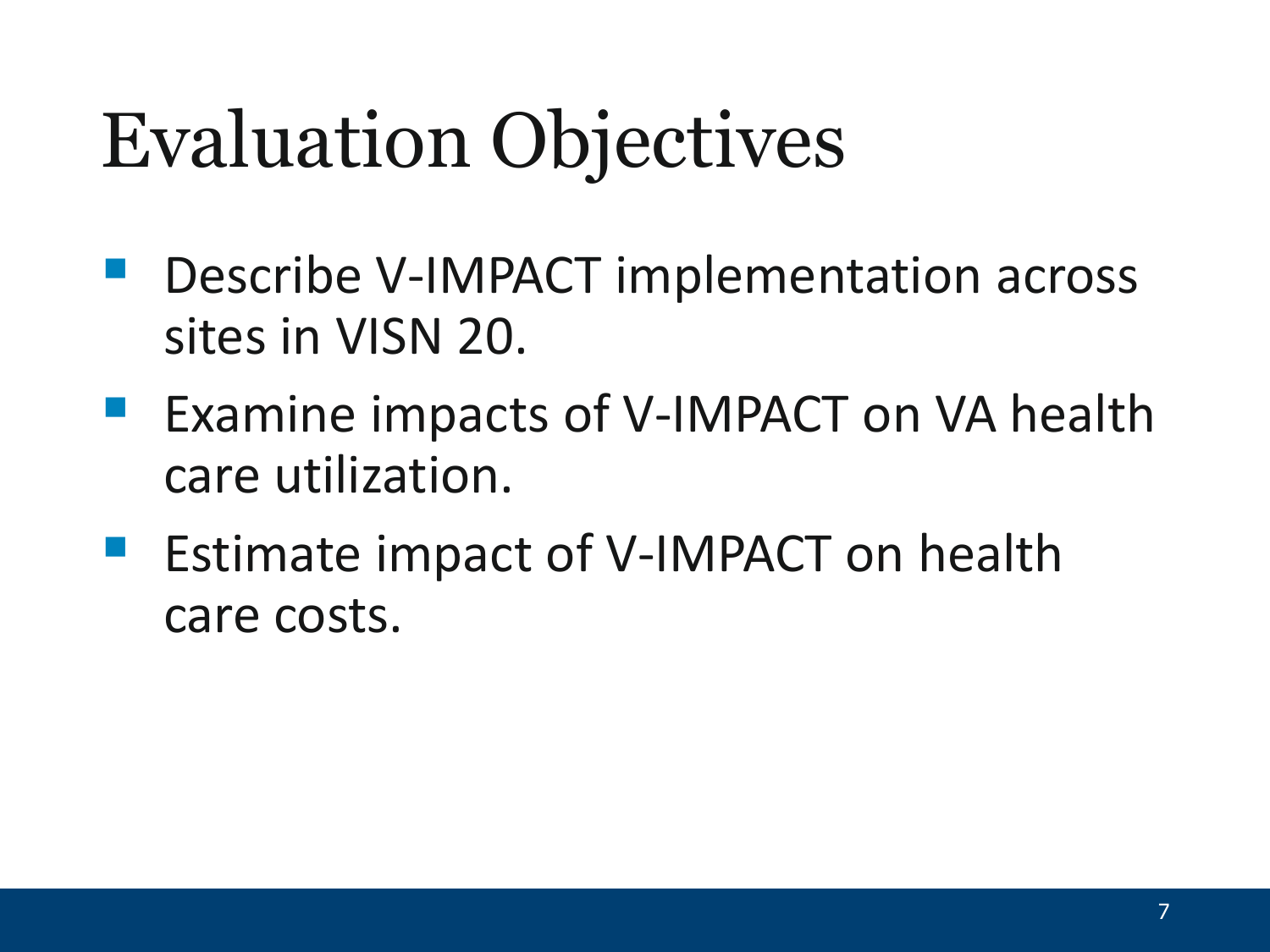# Evaluation Objectives

- Describe V-IMPACT implementation across sites in VISN 20.
- Examine impacts of V-IMPACT on VA health care utilization.
- Estimate impact of V-IMPACT on health care costs.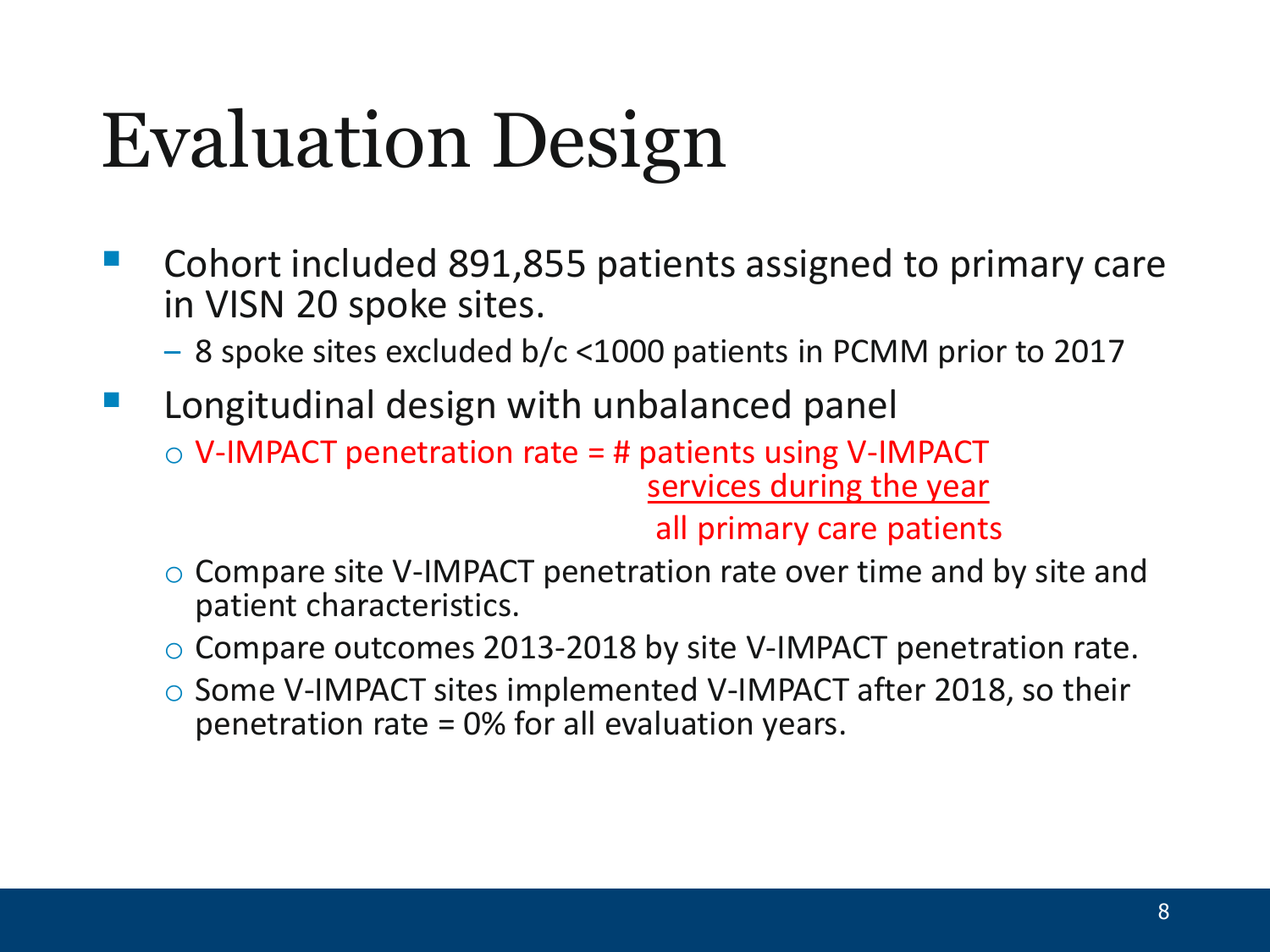# Evaluation Design

- Cohort included 891,855 patients assigned to primary care in VISN 20 spoke sites.
	- ‒ 8 spoke sites excluded b/c <1000 patients in PCMM prior to 2017
- Longitudinal design with unbalanced panel  $\circ$  V-IMPACT penetration rate = # patients using V-IMPACT services during the year

all primary care patients

- o Compare site V-IMPACT penetration rate over time and by site and patient characteristics.
- o Compare outcomes 2013-2018 by site V-IMPACT penetration rate.
- o Some V-IMPACT sites implemented V-IMPACT after 2018, so their penetration rate = 0% for all evaluation years.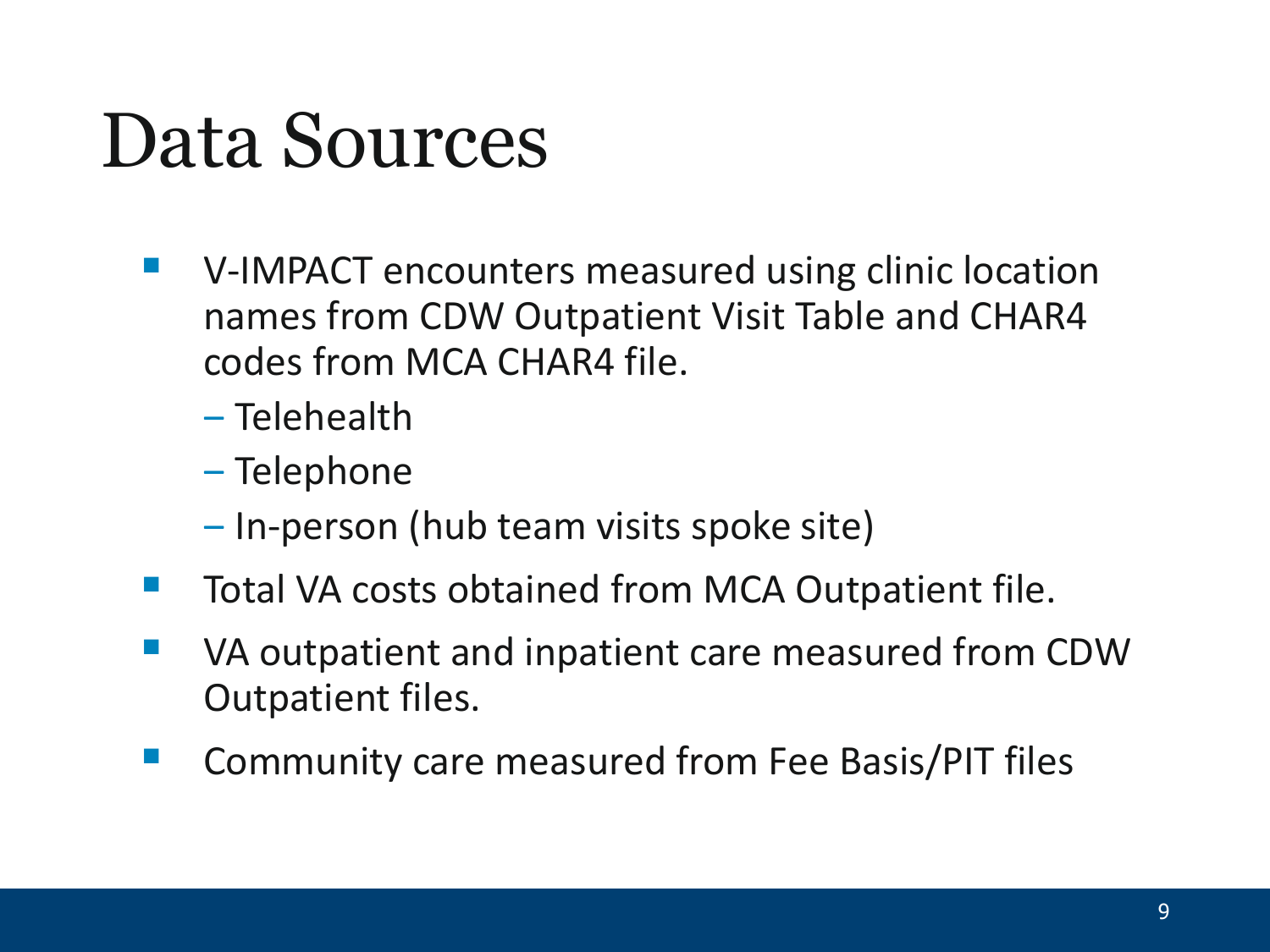## Data Sources

- V-IMPACT encounters measured using clinic location names from CDW Outpatient Visit Table and CHAR4 codes from MCA CHAR4 file.
	- ‒ Telehealth
	- ‒ Telephone
	- ‒ In-person (hub team visits spoke site)
- Total VA costs obtained from MCA Outpatient file.
- VA outpatient and inpatient care measured from CDW Outpatient files.
- Community care measured from Fee Basis/PIT files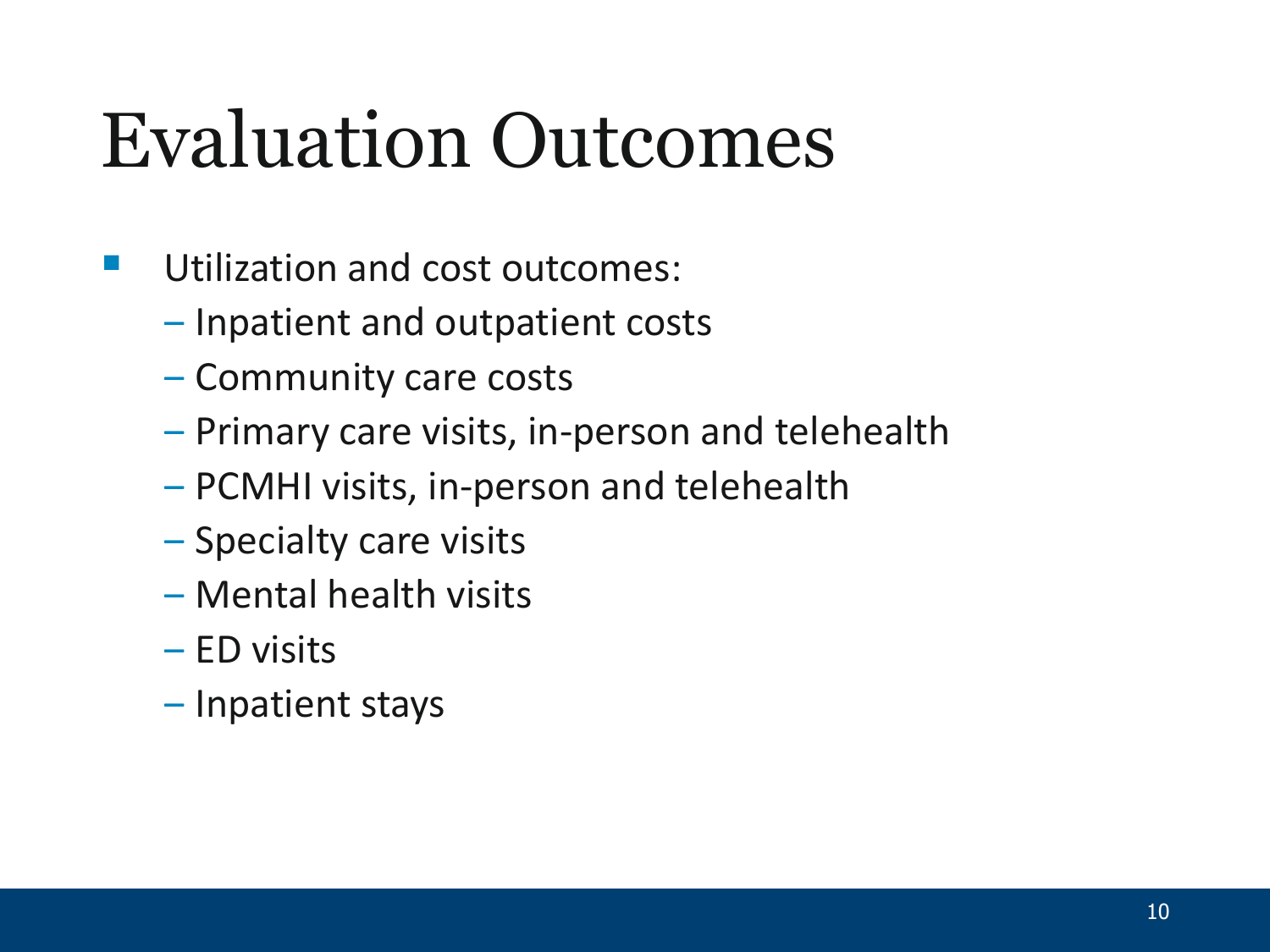# Evaluation Outcomes

- Utilization and cost outcomes:
	- ‒ Inpatient and outpatient costs
	- ‒ Community care costs
	- ‒ Primary care visits, in-person and telehealth
	- ‒ PCMHI visits, in-person and telehealth
	- ‒ Specialty care visits
	- ‒ Mental health visits
	- ‒ ED visits
	- ‒ Inpatient stays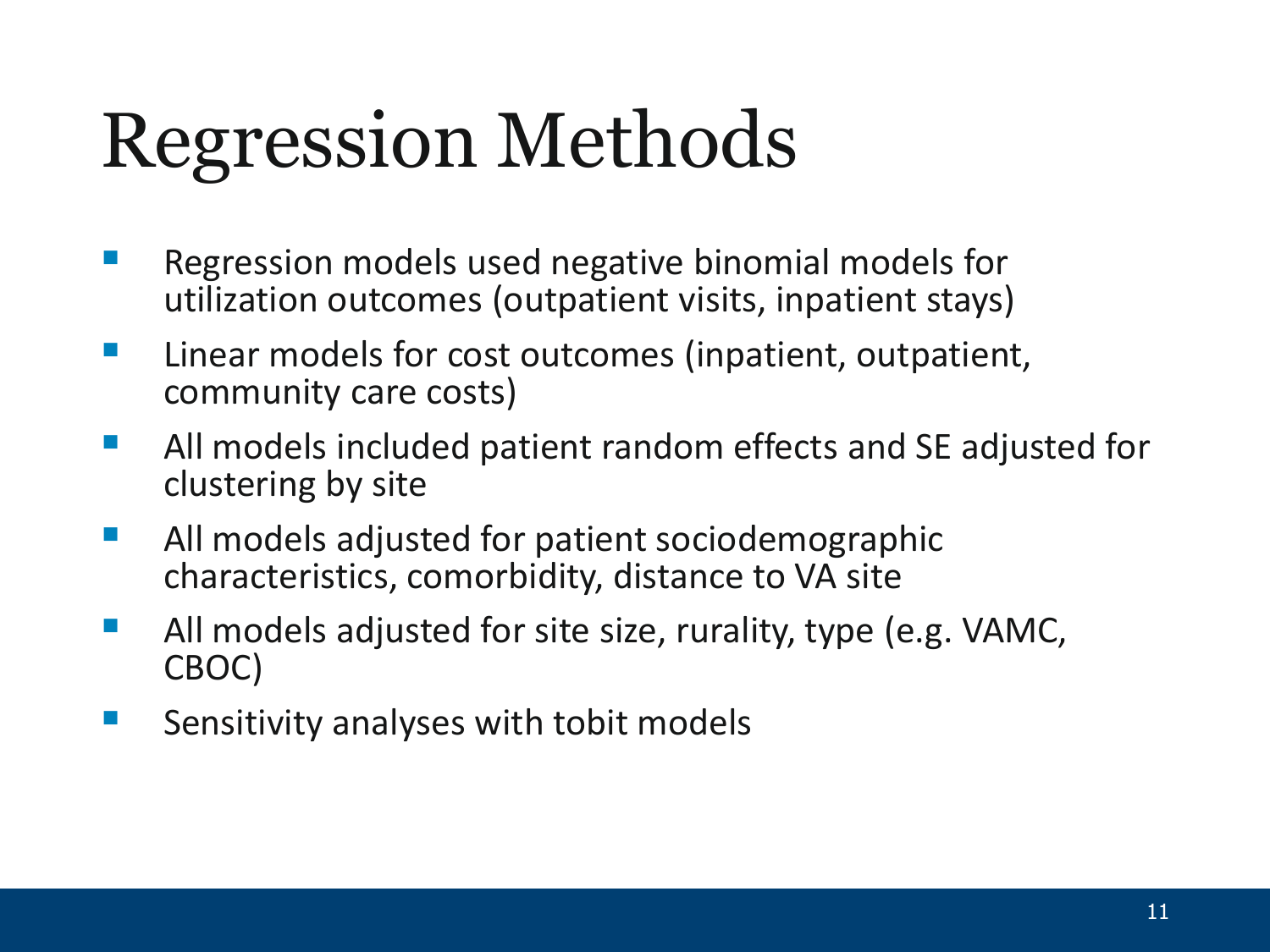# Regression Methods

- Regression models used negative binomial models for utilization outcomes (outpatient visits, inpatient stays)
- **Linear models for cost outcomes (inpatient, outpatient,** community care costs)
- **All models included patient random effects and SE adjusted for** clustering by site
- **All models adjusted for patient sociodemographic** characteristics, comorbidity, distance to VA site
- All models adjusted for site size, rurality, type (e.g. VAMC, CBOC)
- **Sensitivity analyses with tobit models**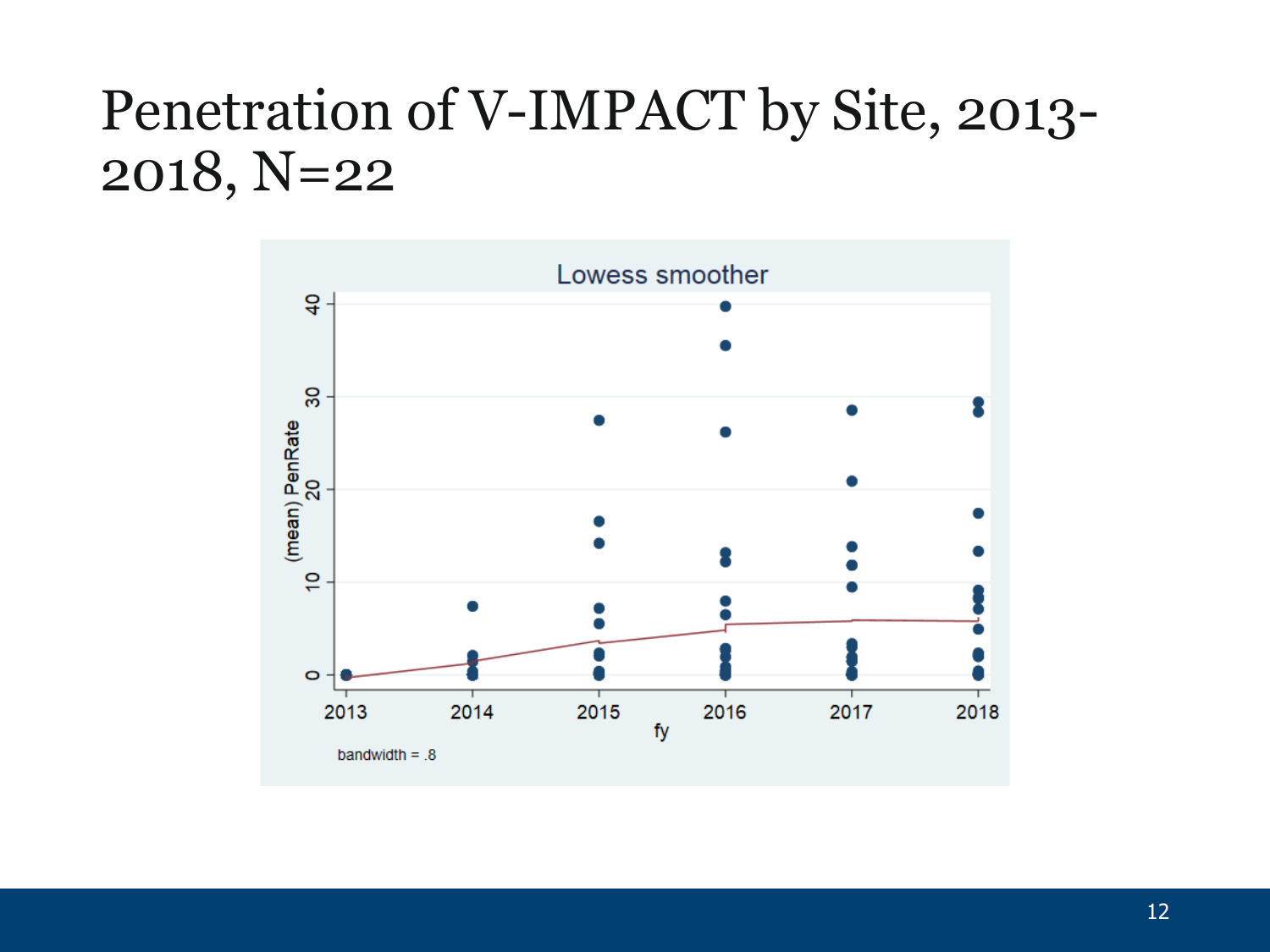### Penetration of V-IMPACT by Site, 2013- 2018, N=22

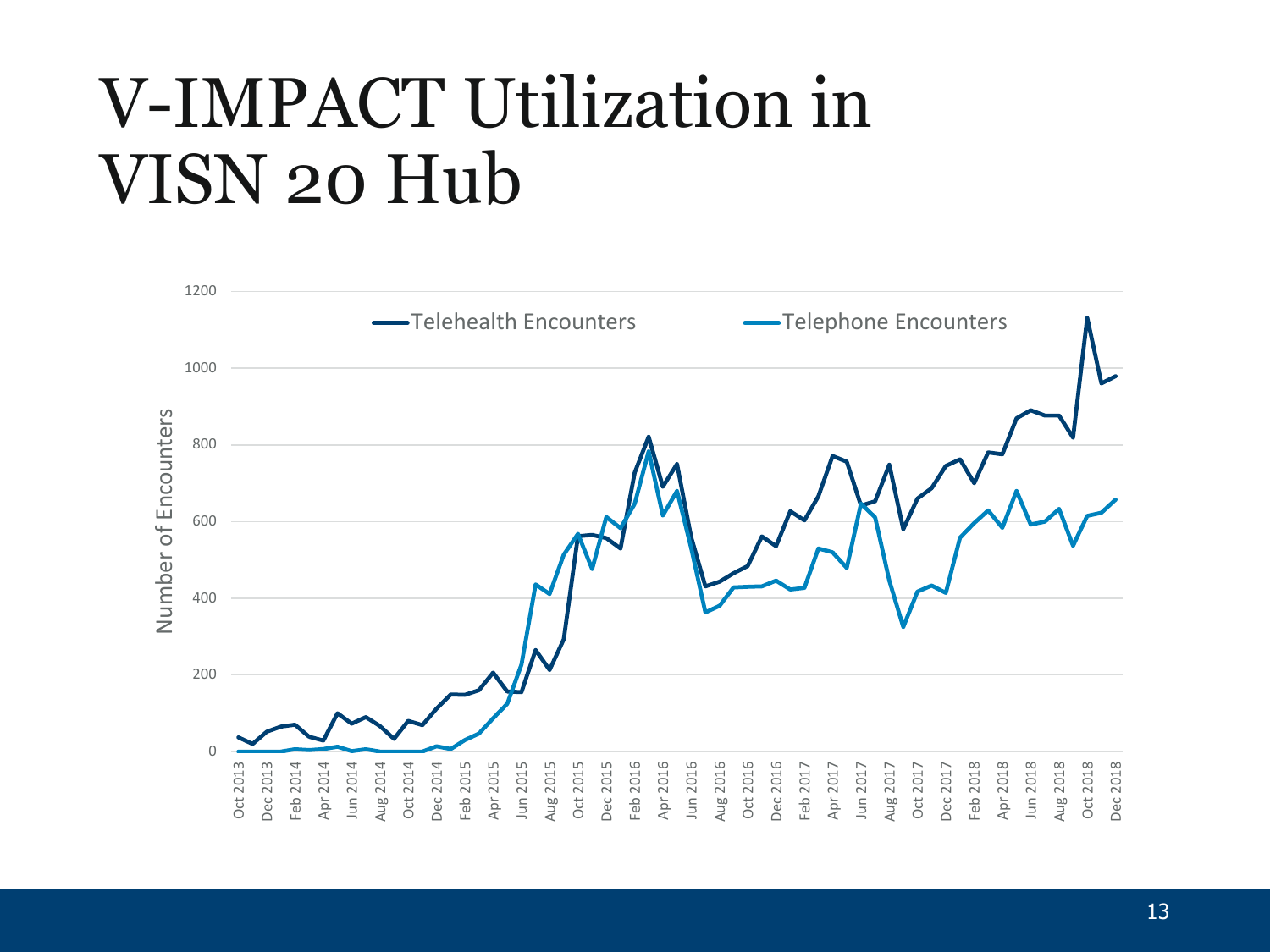## V-IMPACT Utilization in VISN 20 Hub

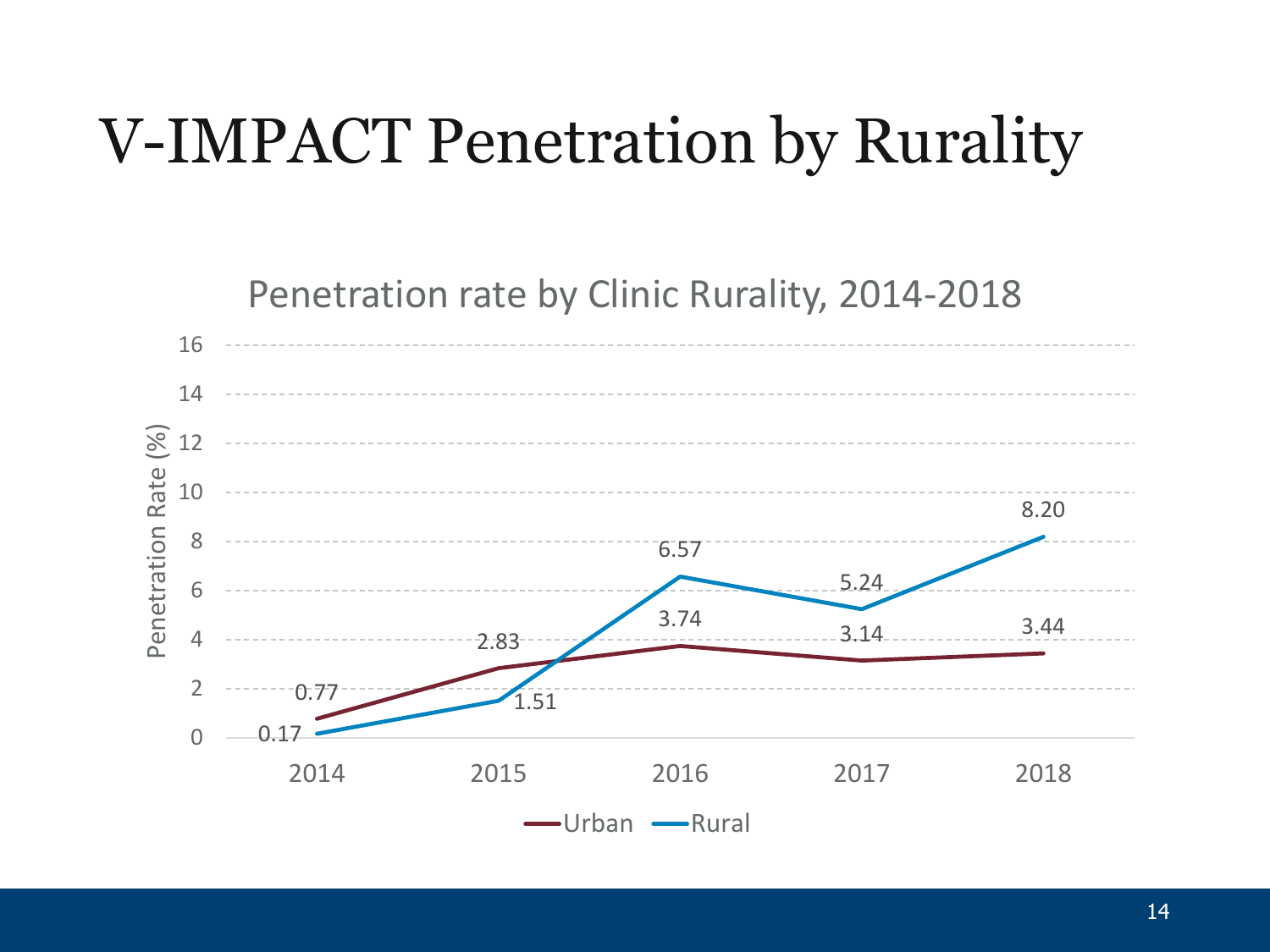### V-IMPACT Penetration by Rurality

Penetration rate by Clinic Rurality, 2014-2018

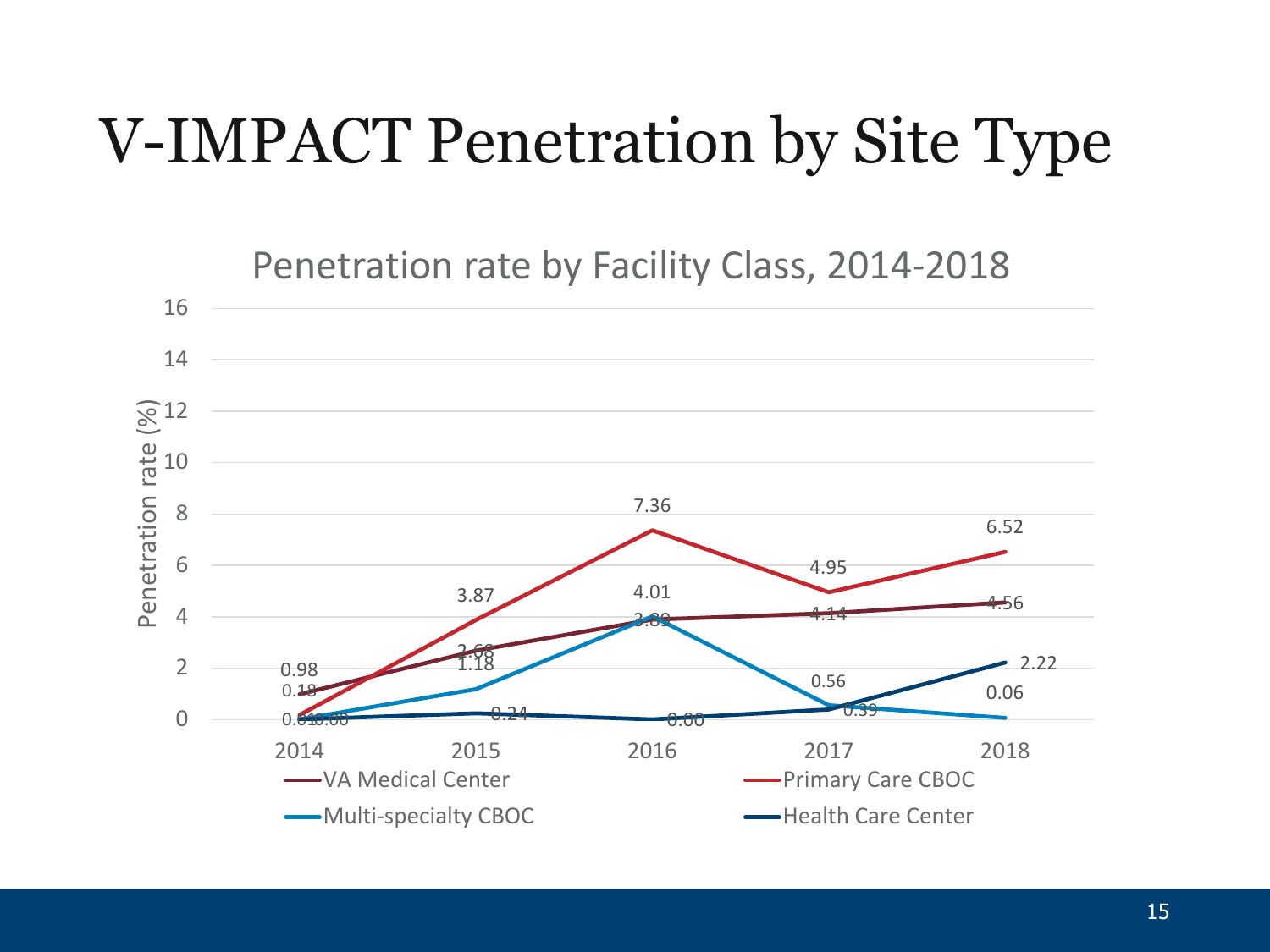### V-IMPACT Penetration by Site Type

Penetration rate by Facility Class, 2014-2018

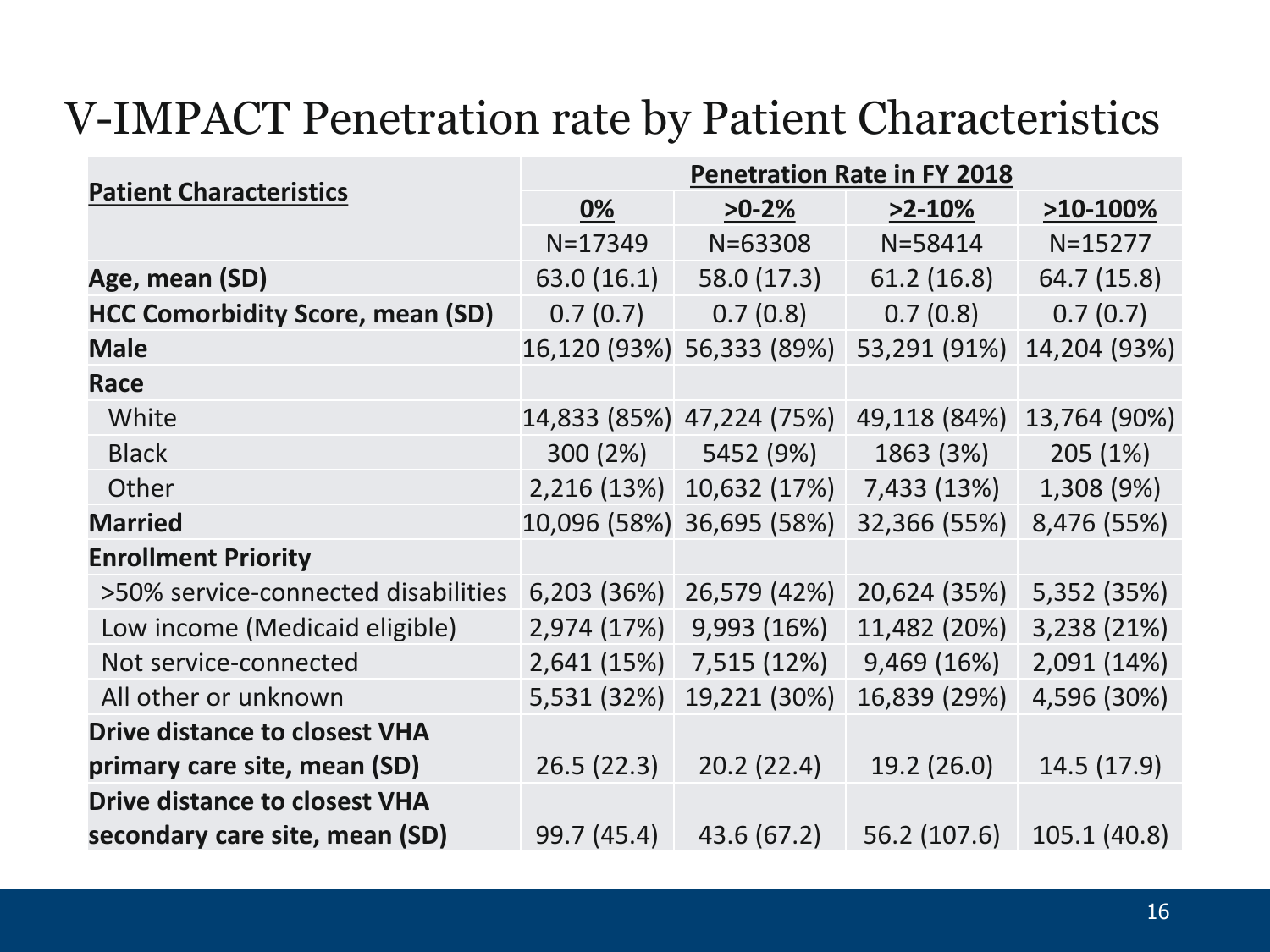#### V-IMPACT Penetration rate by Patient Characteristics

| <b>Patient Characteristics</b>          | <b>Penetration Rate in FY 2018</b> |                           |              |              |
|-----------------------------------------|------------------------------------|---------------------------|--------------|--------------|
|                                         | 0%                                 | $>0-2%$                   | $>2-10%$     | $>10-100\%$  |
|                                         | $N = 17349$                        | $N = 63308$               | $N = 58414$  | $N = 15277$  |
| Age, mean (SD)                          | 63.0 (16.1)                        | 58.0 (17.3)               | 61.2(16.8)   | 64.7 (15.8)  |
| <b>HCC Comorbidity Score, mean (SD)</b> | 0.7(0.7)                           | 0.7(0.8)                  | 0.7(0.8)     | 0.7(0.7)     |
| <b>Male</b>                             |                                    | 16,120 (93%) 56,333 (89%) | 53,291 (91%) | 14,204 (93%) |
| <b>Race</b>                             |                                    |                           |              |              |
| White                                   |                                    | 14,833 (85%) 47,224 (75%) | 49,118 (84%) | 13,764 (90%) |
| <b>Black</b>                            | 300(2%)                            | 5452 (9%)                 | 1863 (3%)    | 205(1%)      |
| Other                                   |                                    | 2,216 (13%) 10,632 (17%)  | 7,433 (13%)  | 1,308 (9%)   |
| <b>Married</b>                          |                                    | 10,096 (58%) 36,695 (58%) | 32,366 (55%) | 8,476 (55%)  |
| <b>Enrollment Priority</b>              |                                    |                           |              |              |
| >50% service-connected disabilities     | 6,203 (36%)                        | 26,579 (42%)              | 20,624 (35%) | 5,352 (35%)  |
| Low income (Medicaid eligible)          | 2,974 (17%)                        | 9,993 (16%)               | 11,482 (20%) | 3,238 (21%)  |
| Not service-connected                   | 2,641 (15%)                        | 7,515 (12%)               | 9,469 (16%)  | 2,091 (14%)  |
| All other or unknown                    | 5,531 (32%)                        | 19,221 (30%)              | 16,839 (29%) | 4,596 (30%)  |
| <b>Drive distance to closest VHA</b>    |                                    |                           |              |              |
| primary care site, mean (SD)            | 26.5(22.3)                         | 20.2(22.4)                | 19.2(26.0)   | 14.5 (17.9)  |
| <b>Drive distance to closest VHA</b>    |                                    |                           |              |              |
| secondary care site, mean (SD)          | 99.7 (45.4)                        | 43.6 (67.2)               | 56.2 (107.6) | 105.1 (40.8) |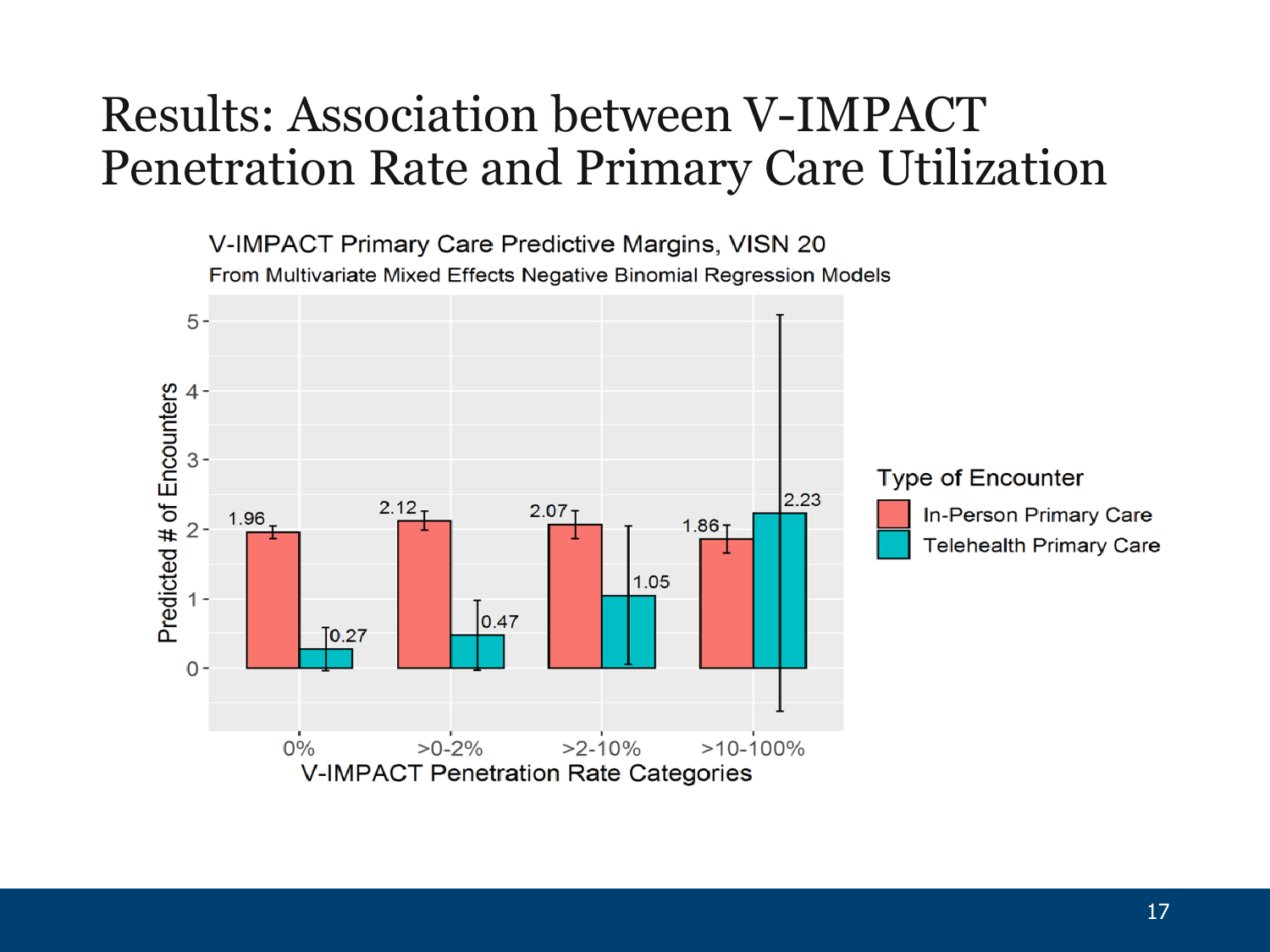#### Results: Association between V-IMPACT Penetration Rate and Primary Care Utilization

V-IMPACT Primary Care Predictive Margins, VISN 20 From Multivariate Mixed Effects Negative Binomial Regression Models

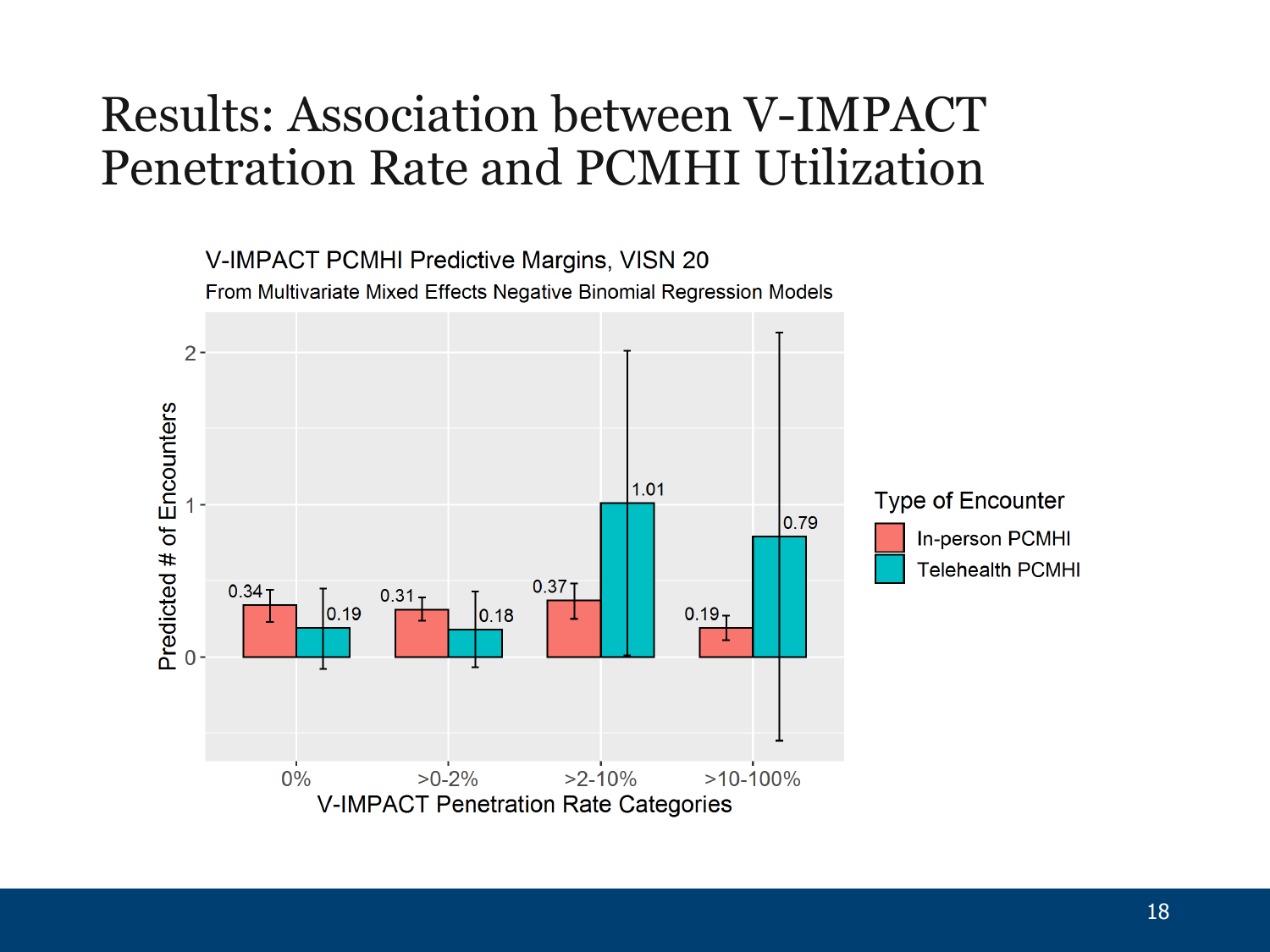### Results: Association between V-IMPACT Penetration Rate and PCMHI Utilization

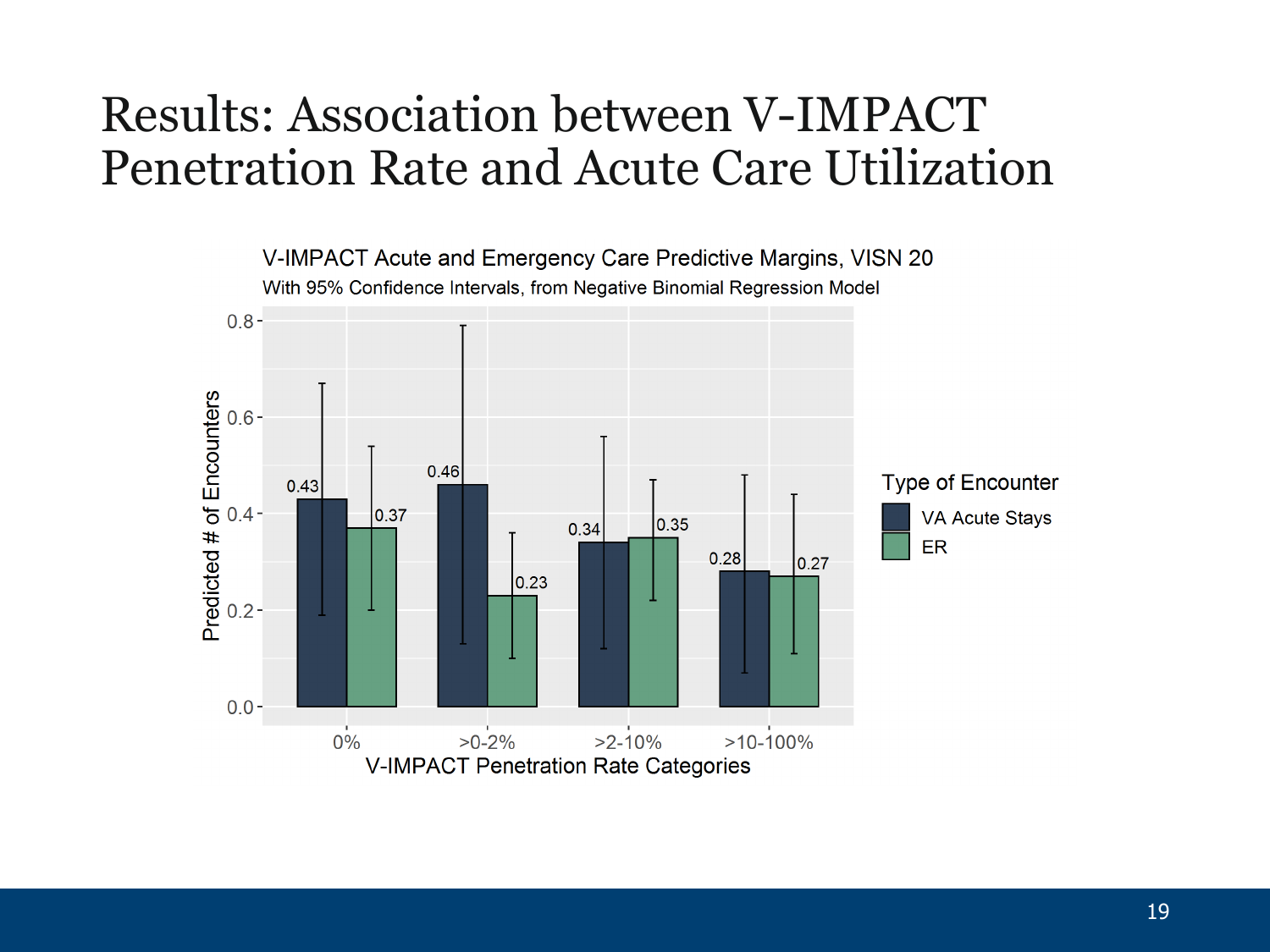#### Results: Association between V-IMPACT Penetration Rate and Acute Care Utilization

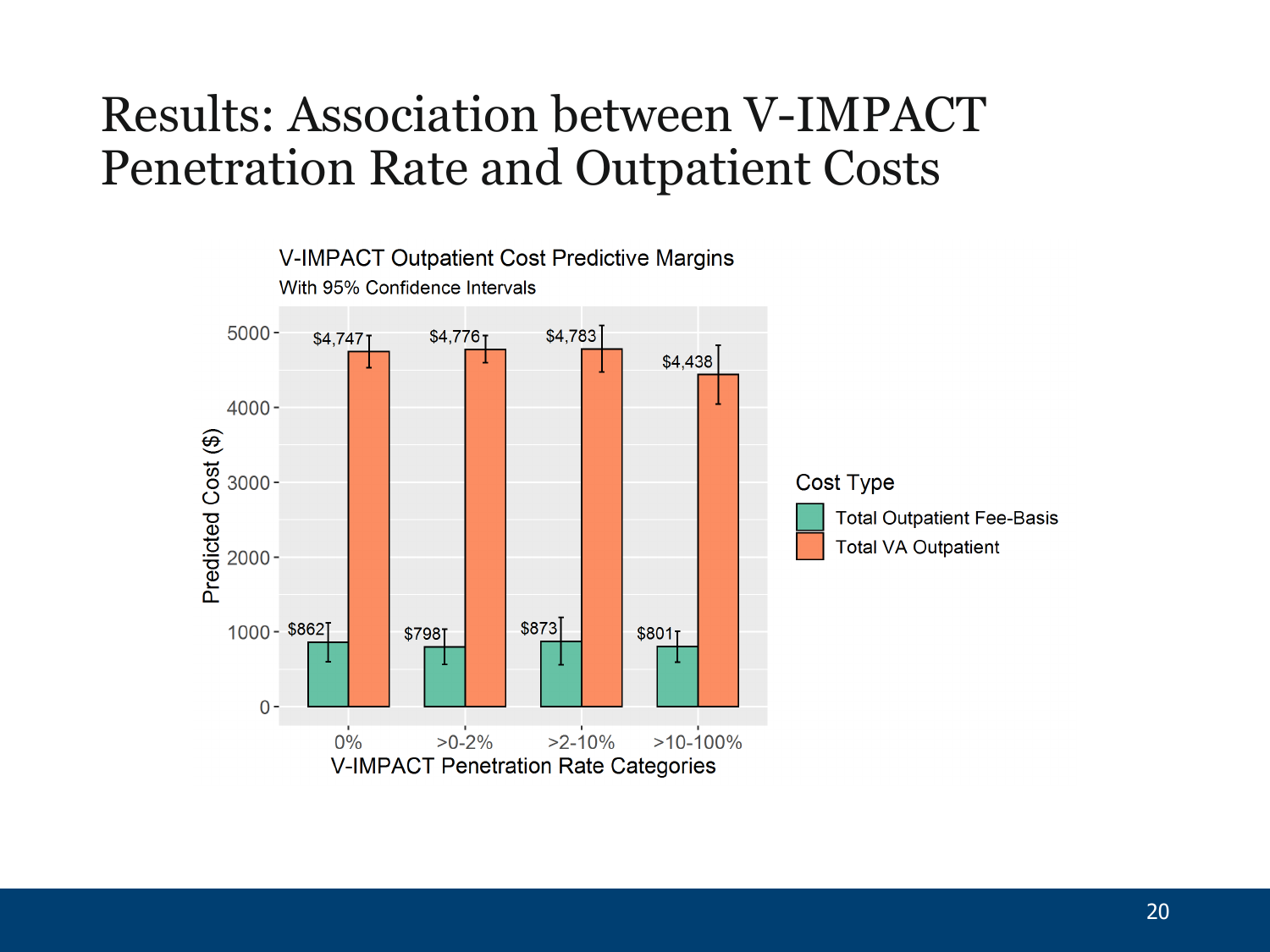### Results: Association between V-IMPACT Penetration Rate and Outpatient Costs

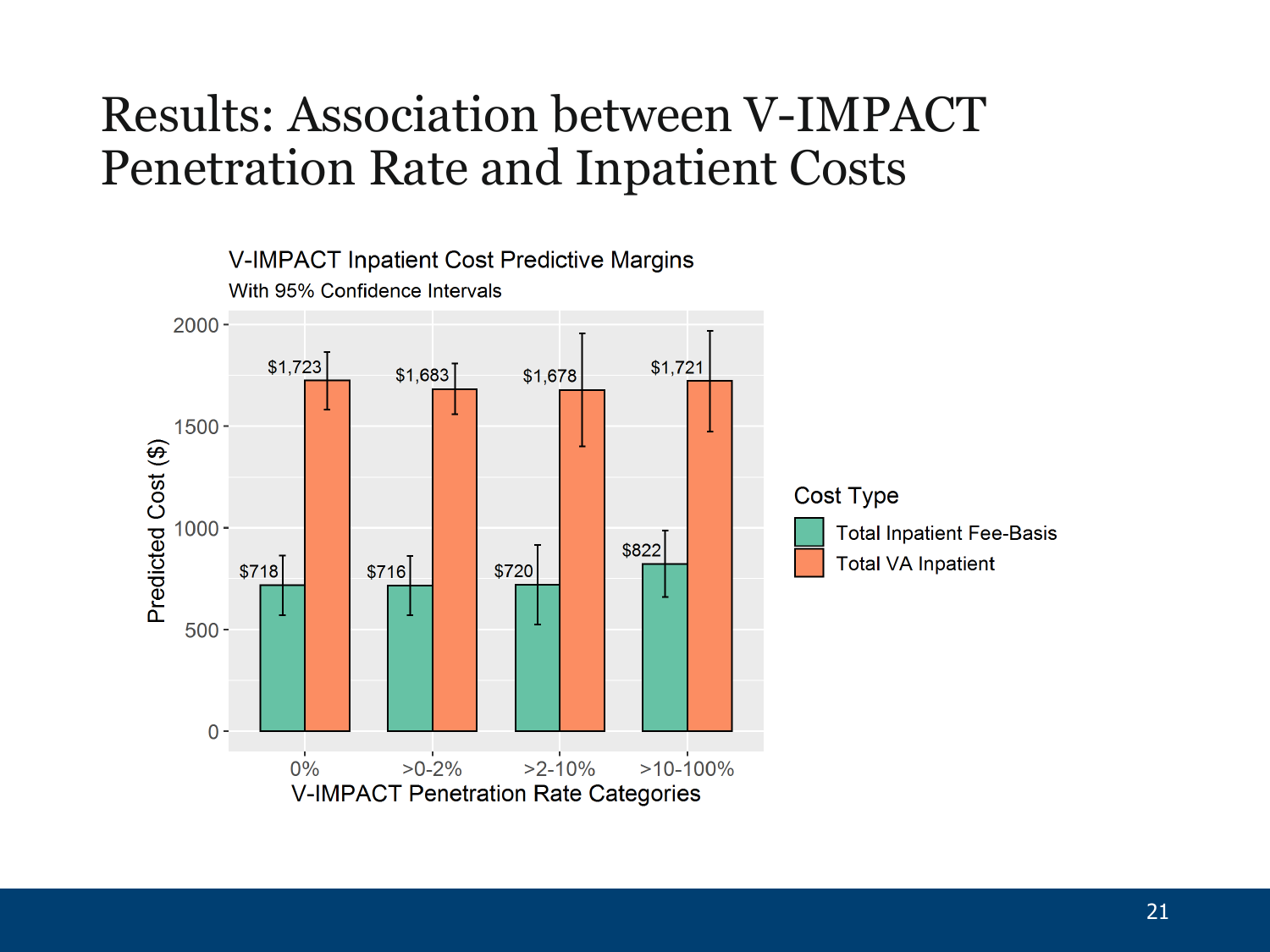### Results: Association between V-IMPACT Penetration Rate and Inpatient Costs

![](_page_20_Figure_1.jpeg)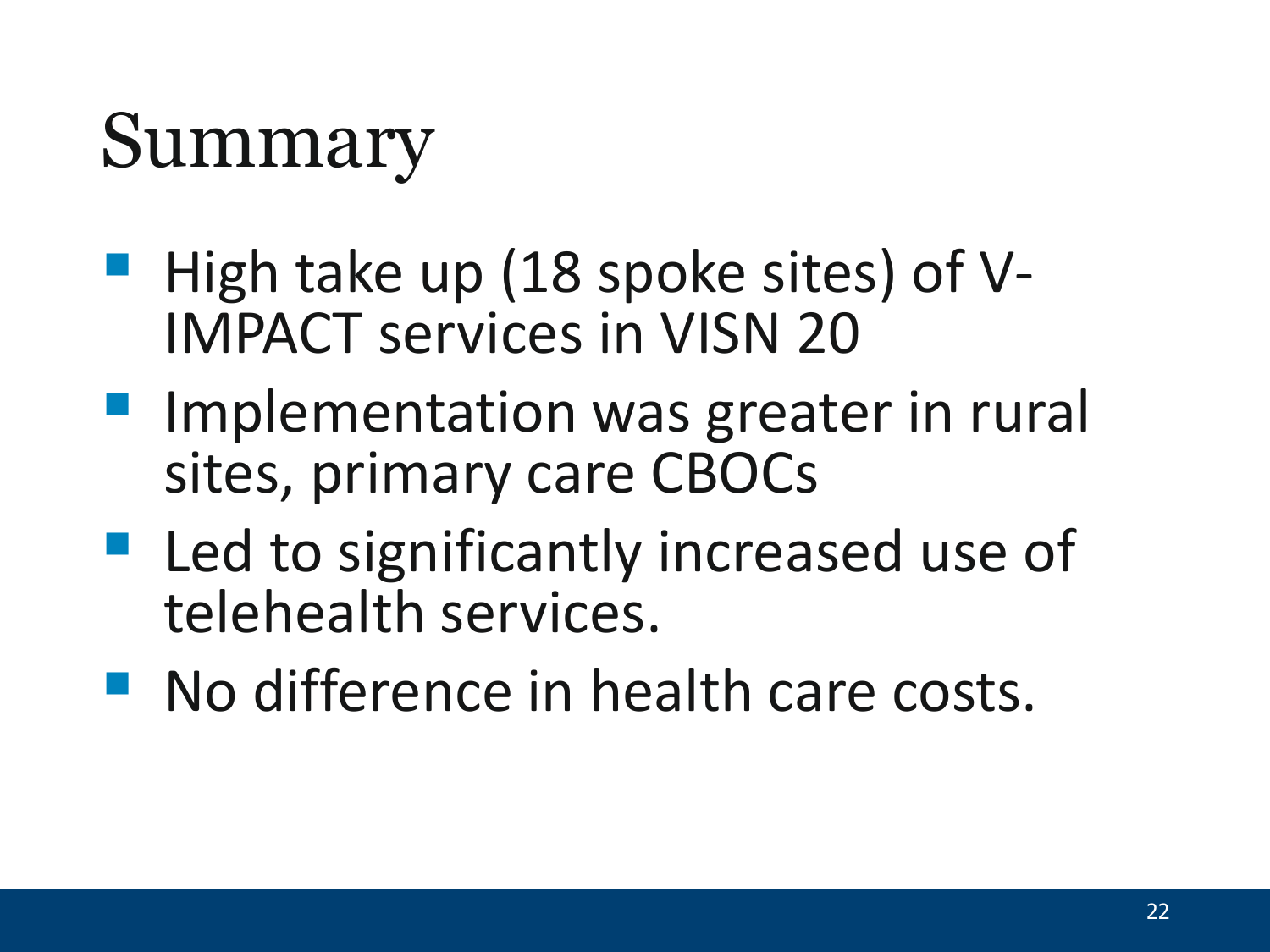## Summary

- High take up (18 spoke sites) of V-<br>IMPACT services in VISN 20
- **Implementation was greater in rural** sites, primary care CBOCs
- **Led to significantly increased use of** telehealth services.
- **No difference in health care costs.**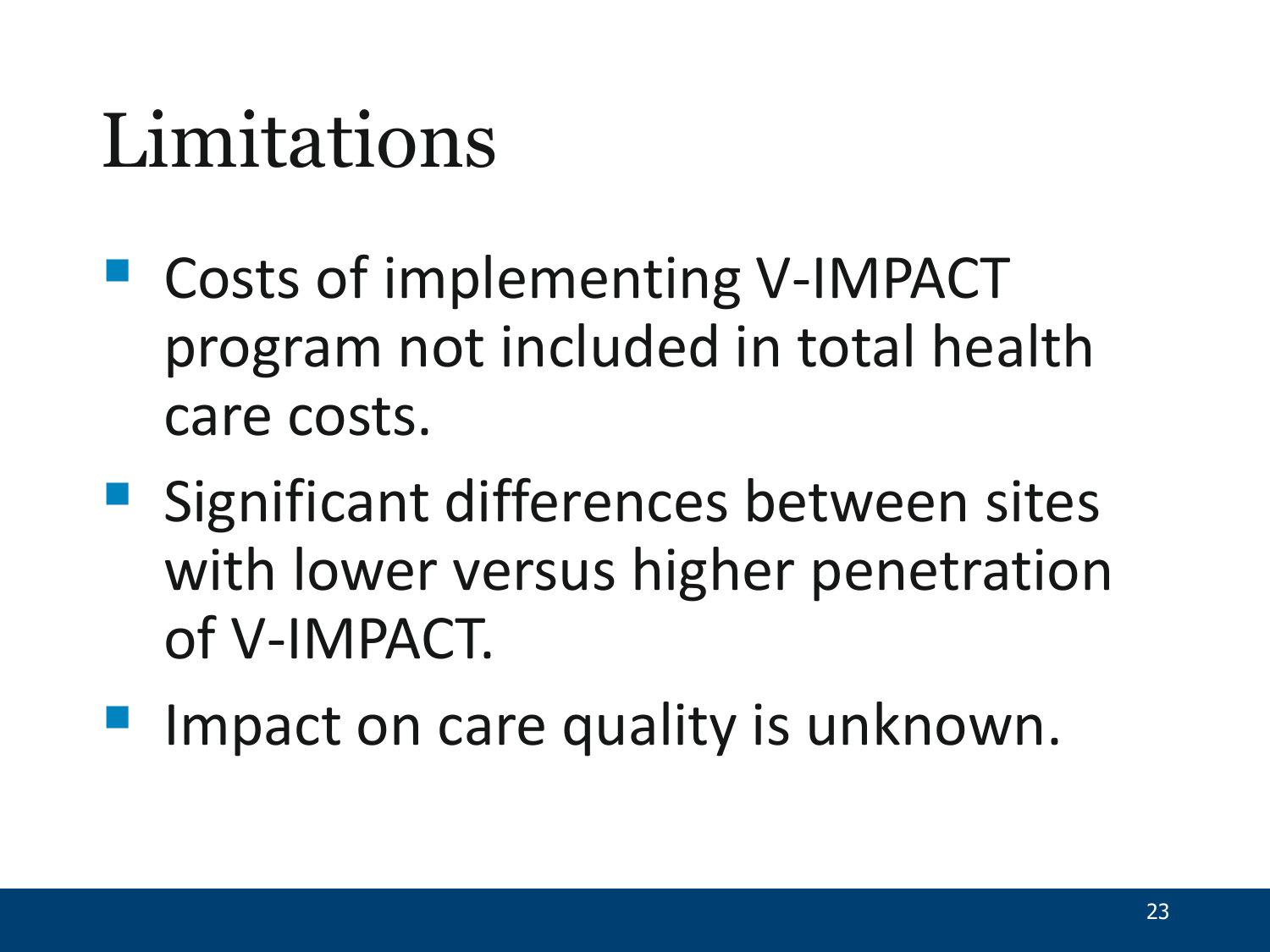## Limitations

- Costs of implementing V-IMPACT program not included in total health care costs.
- **Significant differences between sites** with lower versus higher penetration of V-IMPACT.
- Impact on care quality is unknown.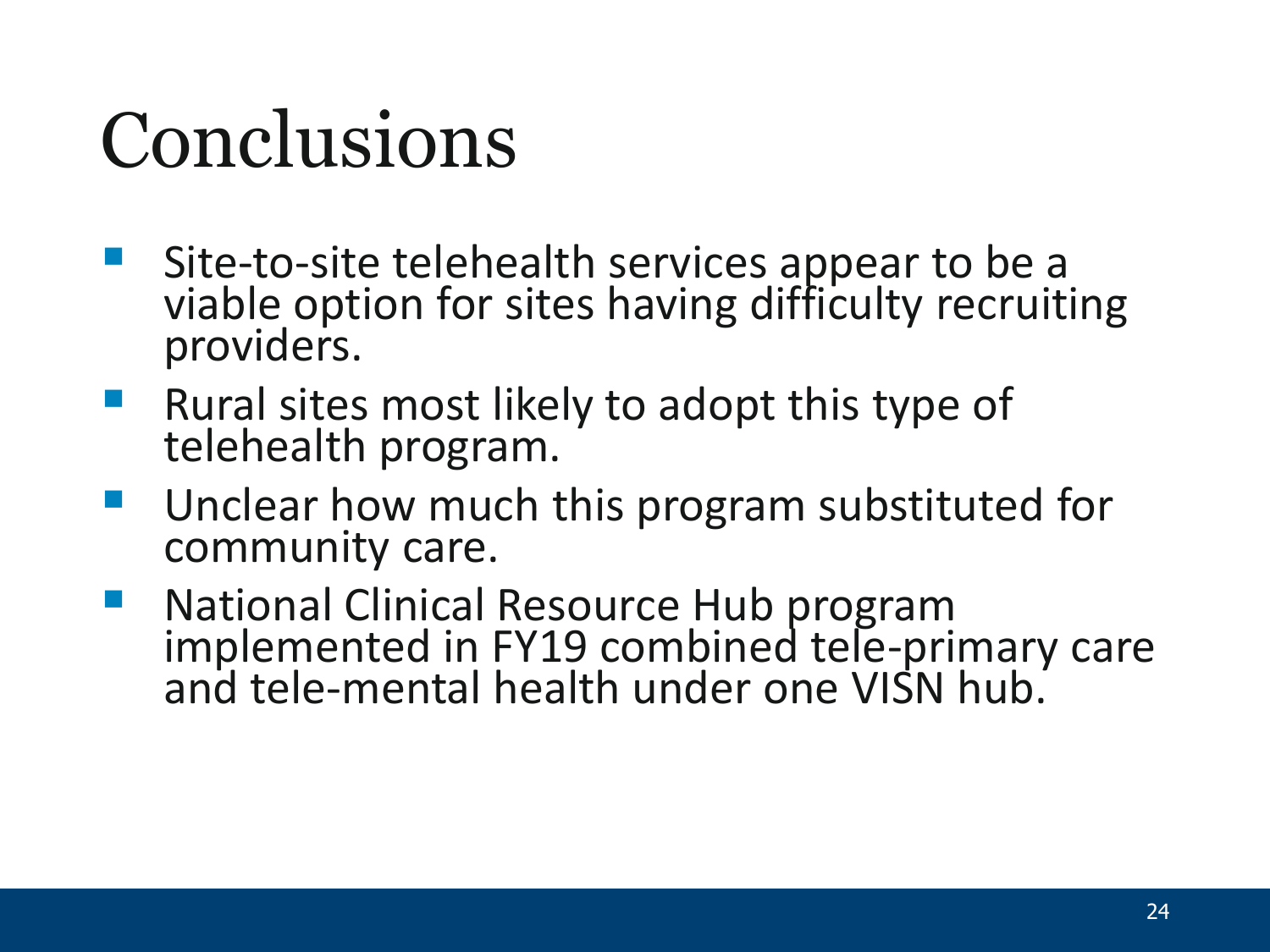# Conclusions

- Site-to-site telehealth services appear to be a viable option for sites having difficulty recruiting providers.
- **Rural sites most likely to adopt this type of** telehealth program.
- **Unclear how much this program substituted for** community care.
- **National Clinical Resource Hub program** implemented in FY19 combined tele-primary care<br>and tele-mental health under one VISN hub.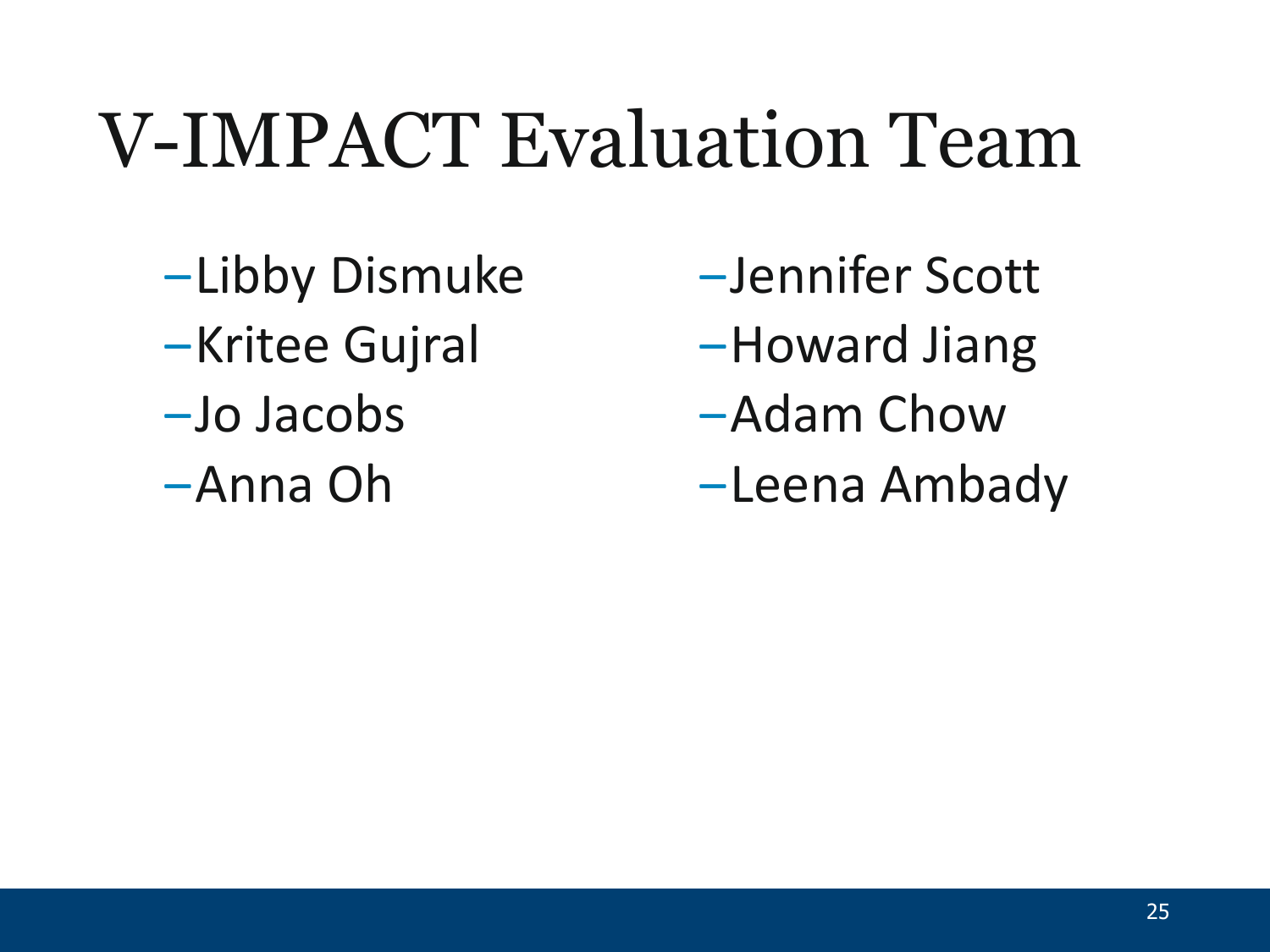## V-IMPACT Evaluation Team

- ‒Libby Dismuke
- **-Kritee Gujral**
- ‒Jo Jacobs
- ‒Anna Oh
- ‒Jennifer Scott
- ‒Howard Jiang
- ‒Adam Chow
- ‒Leena Ambady